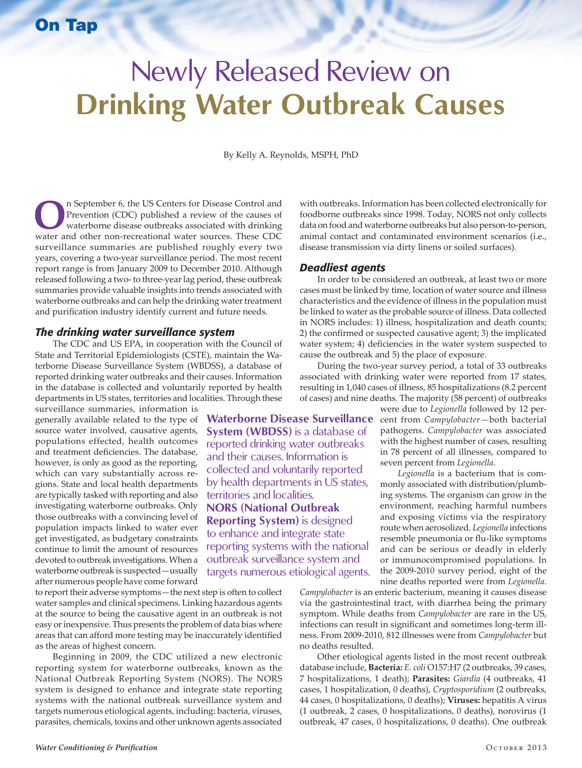# On Tap

# Newly Released Review on **Drinking Water Outbreak Causes**

By Kelly A. Reynolds, MSPH, PhD

**Waterborne Disease Surveillance System (WBDSS)** is a database of reported drinking water outbreaks and their causes. Information is collected and voluntarily reported by health departments in US states,

territories and localities. **NORS (National Outbreak Reporting System)** is designed to enhance and integrate state reporting systems with the national outbreak surveillance system and targets numerous etiological agents.

**O**n September 6, the US Centers for Disease Control and Prevention (CDC) published a review of the causes of waterborne disease outbreaks associated with drinking water and other non-recreational water sources. These CDC Prevention (CDC) published a review of the causes of water and other non-recreational water sources. These CDC surveillance summaries are published roughly every two years, covering a two-year surveillance period. The most recent report range is from January 2009 to December 2010. Although released following a two- to three-year lag period, these outbreak summaries provide valuable insights into trends associated with waterborne outbreaks and can help the drinking water treatment and purification industry identify current and future needs.

#### *The drinking water surveillance system*

The CDC and US EPA, in cooperation with the Council of State and Territorial Epidemiologists (CSTE), maintain the Waterborne Disease Surveillance System (WBDSS), a database of reported drinking water outbreaks and their causes. Information in the database is collected and voluntarily reported by health departments in US states, territories and localities. Through these

surveillance summaries, information is generally available related to the type of source water involved, causative agents, populations effected, health outcomes and treatment deficiencies. The database, however, is only as good as the reporting, which can vary substantially across regions. State and local health departments are typically tasked with reporting and also investigating waterborne outbreaks. Only those outbreaks with a convincing level of population impacts linked to water ever get investigated, as budgetary constraints continue to limit the amount of resources devoted to outbreak investigations. When a waterborne outbreak is suspected—usually after numerous people have come forward

to report their adverse symptoms—the next step is often to collect water samples and clinical specimens. Linking hazardous agents at the source to being the causative agent in an outbreak is not easy or inexpensive. Thus presents the problem of data bias where areas that can afford more testing may be inaccurately identified as the areas of highest concern.

Beginning in 2009, the CDC utilized a new electronic reporting system for waterborne outbreaks, known as the National Outbreak Reporting System (NORS). The NORS system is designed to enhance and integrate state reporting systems with the national outbreak surveillance system and targets numerous etiological agents, including: bacteria, viruses, parasites, chemicals, toxins and other unknown agents associated

with outbreaks. Information has been collected electronically for foodborne outbreaks since 1998. Today, NORS not only collects data on food and waterborne outbreaks but also person-to-person, animal contact and contaminated environment scenarios (i.e., disease transmission via dirty linens or soiled surfaces).

#### *Deadliest agents*

In order to be considered an outbreak, at least two or more cases must be linked by time, location of water source and illness characteristics and the evidence of illness in the population must be linked to water as the probable source of illness. Data collected in NORS includes: 1) illness, hospitalization and death counts; 2) the confirmed or suspected causative agent; 3) the implicated water system; 4) deficiencies in the water system suspected to cause the outbreak and 5) the place of exposure.

During the two-year survey period, a total of 33 outbreaks associated with drinking water were reported from 17 states, resulting in 1,040 cases of illness, 85 hospitalizations (8.2 percent of cases) and nine deaths. The majority (58 percent) of outbreaks

> were due to *Legionella* followed by 12 percent from *Campylobacter—*both bacterial pathogens. *Campylobacter* was associated with the highest number of cases, resulting in 78 percent of all illnesses, compared to seven percent from *Legionella*.

> *Legionella* is a bacterium that is commonly associated with distribution/plumbing systems. The organism can grow in the environment, reaching harmful numbers and exposing victims via the respiratory route when aerosolized. *Legionella* infections resemble pneumonia or flu-like symptoms and can be serious or deadly in elderly or immunocompromised populations. In the 2009-2010 survey period, eight of the nine deaths reported were from *Legionella*.

*Campylobacter* is an enteric bacterium, meaning it causes disease via the gastrointestinal tract, with diarrhea being the primary symptom. While deaths from *Campylobacter* are rare in the US, infections can result in significant and sometimes long-term illness. From 2009-2010, 812 illnesses were from *Campylobacter* but no deaths resulted.

Other etiological agents listed in the most recent outbreak database include, **Bacteria:** *E. coli* O157:H7 (2 outbreaks, 39 cases, 7 hospitalizations, 1 death); **Parasites:** *Giardia* (4 outbreaks, 41 cases, 1 hospitalization, 0 deaths), *Cryptosporidium* (2 outbreaks, 44 cases, 0 hospitalizations, 0 deaths); **Viruses:** hepatitis A virus (1 outbreak, 2 cases, 0 hospitalizations, 0 deaths), norovirus (1 outbreak, 47 cases, 0 hospitalizations, 0 deaths). One outbreak